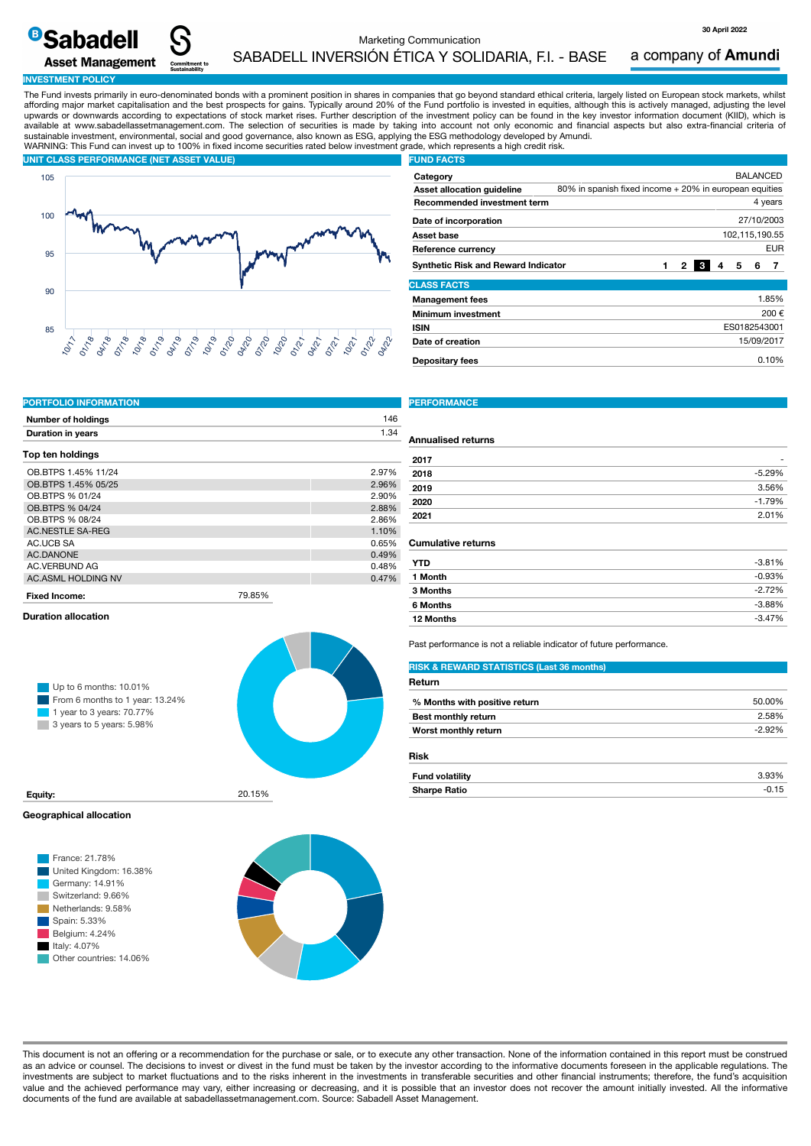Marketing Communication SABADELL INVERSIÓN ÉTICA Y SOLIDARIA, F.I. - BASE

a company of Amundi

**30 April 2022**

15/09/2017

#### **INVESTMENT POLICY**

**<sup>B</sup>Sabadell** 

**Asset Management** 

The Fund invests primarily in euro-denominated bonds with a prominent position in shares in companies that go beyond standard ethical criteria, largely listed on European stock markets, whilst affording major market capitalisation and the best prospects for gains. Typically around 20% of the Fund portfolio is invested in equities, although this is actively managed, adjusting the level upwards or downwards according to expectations of stock market rises. Further description of the investment policy can be found in the key investor information document (KIID), which is available at www.sabadellassetmanagement.com. The selection of securities is made by taking into account not only economic and financial aspects but also extra-financial criteria of sustainable investment, environmental, social and good governance, also known as ESG, applying the ESG methodology developed by Amundi. WARNING: This Fund can invest up to 100% in fixed income securities rated below investment grade, which represents a high credit risk.



| <b>FUND FACTS</b>                          |                                                        |  |  |   |  |              |                 |            |
|--------------------------------------------|--------------------------------------------------------|--|--|---|--|--------------|-----------------|------------|
| Category                                   |                                                        |  |  |   |  |              | <b>BALANCED</b> |            |
| Asset allocation guideline                 | 80% in spanish fixed income + 20% in european equities |  |  |   |  |              |                 |            |
| <b>Recommended investment term</b>         |                                                        |  |  |   |  |              |                 | 4 years    |
| Date of incorporation                      |                                                        |  |  |   |  |              |                 | 27/10/2003 |
| Asset base                                 | 102.115.190.55                                         |  |  |   |  |              |                 |            |
| Reference currency                         |                                                        |  |  |   |  |              |                 | <b>EUR</b> |
| <b>Synthetic Risk and Reward Indicator</b> |                                                        |  |  | 2 |  | 5            | 6               |            |
| <b>CLASS FACTS</b>                         |                                                        |  |  |   |  |              |                 |            |
| <b>Management fees</b>                     |                                                        |  |  |   |  |              |                 | 1.85%      |
| <b>Minimum investment</b>                  |                                                        |  |  |   |  |              |                 | 200€       |
| <b>ISIN</b>                                |                                                        |  |  |   |  | ES0182543001 |                 |            |

**Depositary fees** 0.10%

| <b>PORTFOLIO INFORMATION</b> |        |       |
|------------------------------|--------|-------|
| <b>Number of holdings</b>    |        | 146   |
| <b>Duration in years</b>     |        | 1.34  |
| Top ten holdings             |        |       |
| OB BTPS 1.45% 11/24          |        | 2.97% |
| OB.BTPS 1.45% 05/25          |        | 2.96% |
| OB.BTPS % 01/24              |        | 2.90% |
| OB.BTPS % 04/24              |        | 2.88% |
| OB BTPS % 08/24              |        | 2.86% |
| <b>AC.NESTLE SA-REG</b>      |        | 1.10% |
| AC.UCB SA                    |        | 0.65% |
| <b>AC.DANONE</b>             |        | 0.49% |
| <b>AC.VERBUND AG</b>         |        | 0.48% |
| <b>AC.ASML HOLDING NV</b>    |        | 0.47% |
| <b>Fixed Income:</b>         | 79.85% |       |

#### **Duration allocation**



# **Geographical allocation**



### **PERFORMANCE**

**Date of creation**

#### **Annualised returns**

| 2017 | -        |
|------|----------|
| 2018 | $-5.29%$ |
| 2019 | 3.56%    |
| 2020 | $-1.79%$ |
| 2021 | 2.01%    |
|      |          |

### **Cumulative returns**

| YTD       | $-3.81%$ |
|-----------|----------|
| 1 Month   | $-0.93%$ |
| 3 Months  | $-2.72%$ |
| 6 Months  | $-3.88%$ |
| 12 Months | $-3.47%$ |

Past performance is not a reliable indicator of future performance.

### **RISK & REWARD STATISTICS (Last 36 months)**

| Return                        |         |
|-------------------------------|---------|
| % Months with positive return | 50.00%  |
| <b>Best monthly return</b>    | 2.58%   |
| Worst monthly return          | $-292%$ |
|                               |         |

### **Risk**

|                                                    |                     | <b>2.03%</b><br>70 ن.ق |
|----------------------------------------------------|---------------------|------------------------|
| 20.150<br>Equity:<br><b>20.1970</b><br>$- - - - -$ | <b>Sharpe Ratio</b> | ט.וט                   |

This document is not an offering or a recommendation for the purchase or sale, or to execute any other transaction. None of the information contained in this report must be construed as an advice or counsel. The decisions to invest or divest in the fund must be taken by the investor according to the informative documents foreseen in the applicable regulations. The investments are subject to market fluctuations and to the risks inherent in the investments in transferable securities and other financial instruments; therefore, the fund's acquisition value and the achieved performance may vary, either increasing or decreasing, and it is possible that an investor does not recover the amount initially invested. All the informative documents of the fund are available at sabadellassetmanagement.com. Source: Sabadell Asset Management.